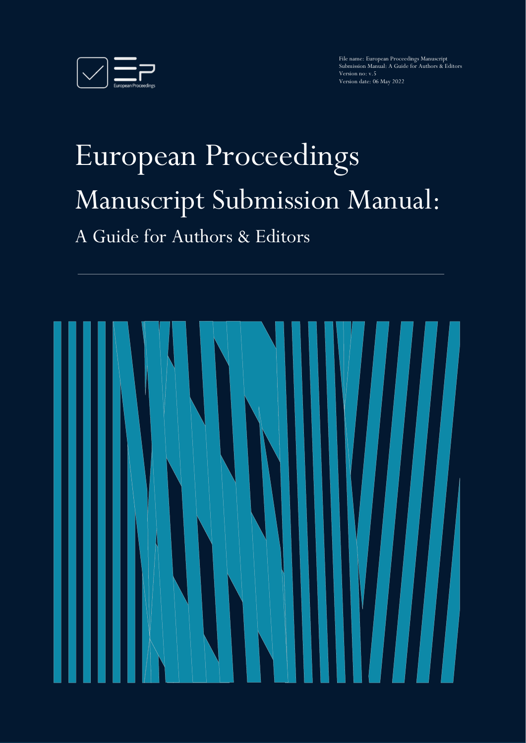

File name: European Proceedings Manuscript Submission Manual: A Guide for Authors & Editors Version no: v.5 Version date: 06 May 2022

# European Proceedings Manuscript Submission Manual: A Guide for Authors & Editors

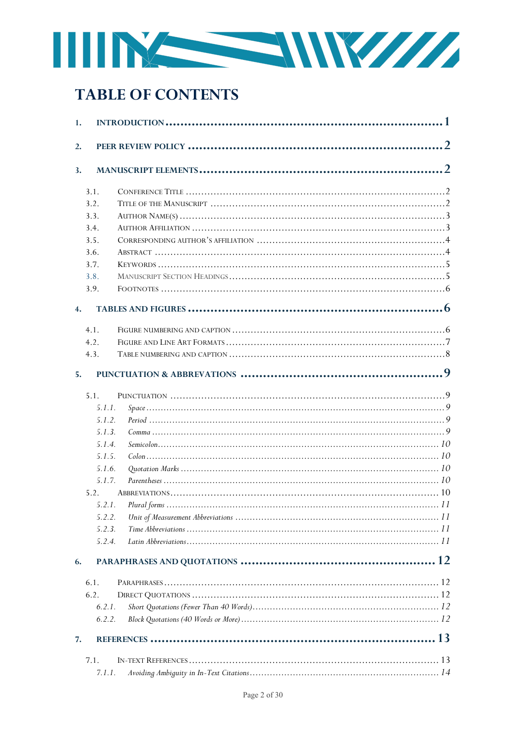

# **TABLE OF CONTENTS**

| 1.               |  |
|------------------|--|
| 2.               |  |
| 3.               |  |
| 3.1.             |  |
| 3.2.             |  |
| 3.3.             |  |
| 3.4.             |  |
| 3.5.             |  |
| 3.6.             |  |
| 3.7.             |  |
| 3.8.             |  |
| 3.9.             |  |
| $\overline{4}$ . |  |
| 4.1.             |  |
| 4.2.             |  |
| 4.3.             |  |
| 5.               |  |
| 5.1.             |  |
| 5.1.1.           |  |
| 5.1.2.           |  |
| 5.1.3.           |  |
| 5.1.4.           |  |
| 5.1.5.           |  |
| 5.1.6.           |  |
| 5.1.7.           |  |
| 5.2.             |  |
| 5.2.1.           |  |
| 5.2.2.           |  |
| 5.2.3.           |  |
| 5.2.4.           |  |
| 6.               |  |
| 6.1.             |  |
| 6.2.             |  |
| 6.2.1.           |  |
| 6.2.2.           |  |
| 7.               |  |
| 7.1.             |  |
|                  |  |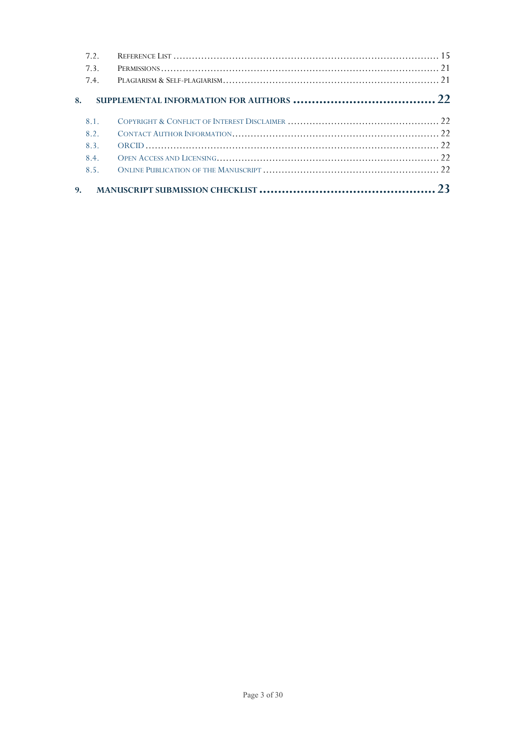|    | 7.2  |  |
|----|------|--|
|    | 7.3. |  |
|    | 7.4  |  |
| 8. |      |  |
|    | 8.1  |  |
|    | 8.2. |  |
|    | 8.3. |  |
|    | 8.4. |  |
|    | 8.5. |  |
| 9. |      |  |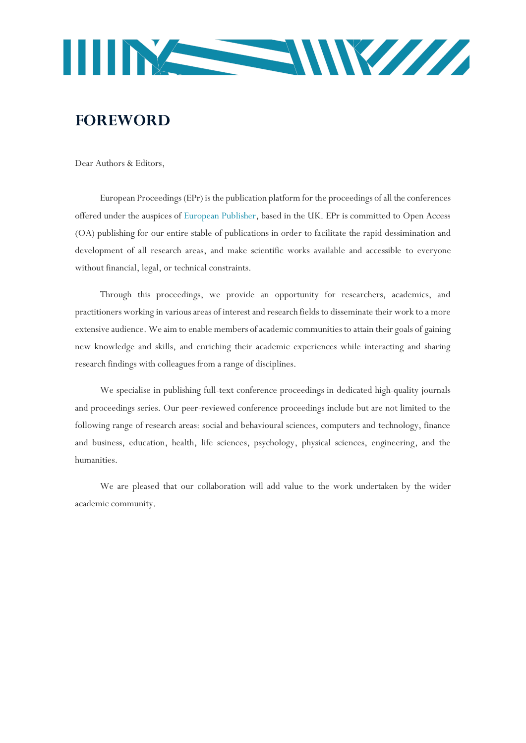

# **FOREWORD**

Dear Authors & Editors,

European Proceedings (EPr) is the publication platform for the proceedings of all the conferences offered under the auspices of [European Publisher,](https://www.europeanpublisher.com/en/) based in the UK. EPr is committed to Open Access (OA) publishing for our entire stable of publications in order to facilitate the rapid dessimination and development of all research areas, and make scientific works available and accessible to everyone without financial, legal, or technical constraints.

Through this proceedings, we provide an opportunity for researchers, academics, and practitioners working in various areas of interest and research fields to disseminate their work to a more extensive audience. We aim to enable members of academic communities to attain their goals of gaining new knowledge and skills, and enriching their academic experiences while interacting and sharing research findings with colleagues from a range of disciplines.

We specialise in publishing full-text conference proceedings in dedicated high-quality journals and proceedings series. Our peer-reviewed conference proceedings include but are not limited to the following range of research areas: social and behavioural sciences, computers and technology, finance and business, education, health, life sciences, psychology, physical sciences, engineering, and the humanities.

We are pleased that our collaboration will add value to the work undertaken by the wider academic community.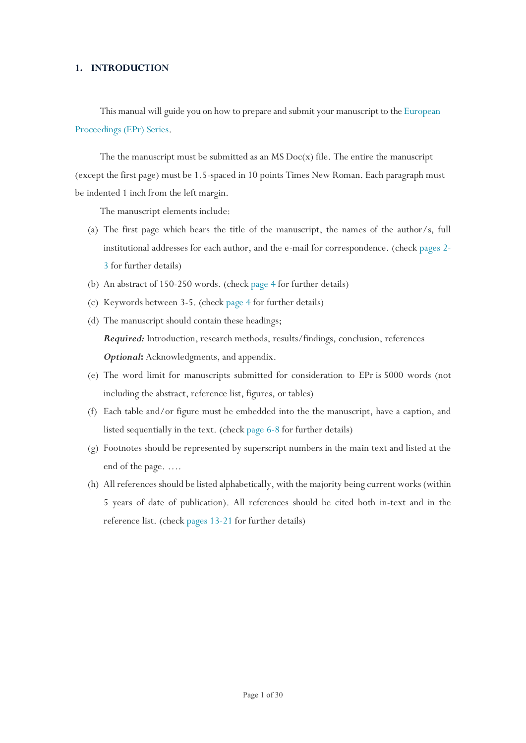# <span id="page-4-0"></span>**1. INTRODUCTION**

This manual will guide you on how to prepare and submit your manuscript to th[e European](https://www.europeanproceedings.com/book-series)  [Proceedings \(EPr\) Series.](https://www.europeanproceedings.com/book-series)

The the manuscript must be submitted as an  $MS$  Doc(x) file. The entire the manuscript (except the first page) must be 1.5-spaced in 10 points Times New Roman. Each paragraph must be indented 1 inch from the left margin.

The manuscript elements include:

- (a) The first page which bears the title of the manuscript, the names of the author/s, full institutional addresses for each author, and the e-mail for correspondence. (chec[k pages 2-](#page-5-0) [3](#page-5-0) for further details)
- (b) An abstract of 150-250 words. (check [page 4](#page-7-1) for further details)
- (c) Keywords between 3-5. (check [page 4](#page-8-0) for further details)
- (d) The manuscript should contain these headings; *Required:* Introduction, research methods, results/findings, conclusion, references *Optional***:** Acknowledgments, and appendix.
- (e) The word limit for manuscripts submitted for consideration to EPr is 5000 words (not including the abstract, reference list, figures, or tables)
- (f) Each table and/or figure must be embedded into the the manuscript, have a caption, and listed sequentially in the text. (check [page 6-8](#page-9-1) for further details)
- (g) Footnotes should be represented by superscript numbers in the main text and listed at the end of the page. ….
- (h) All references should be listed alphabetically, with the majority being current works (within 5 years of date of publication). All references should be cited both in-text and in the reference list. (check [pages 13-21](#page-16-0) for further details)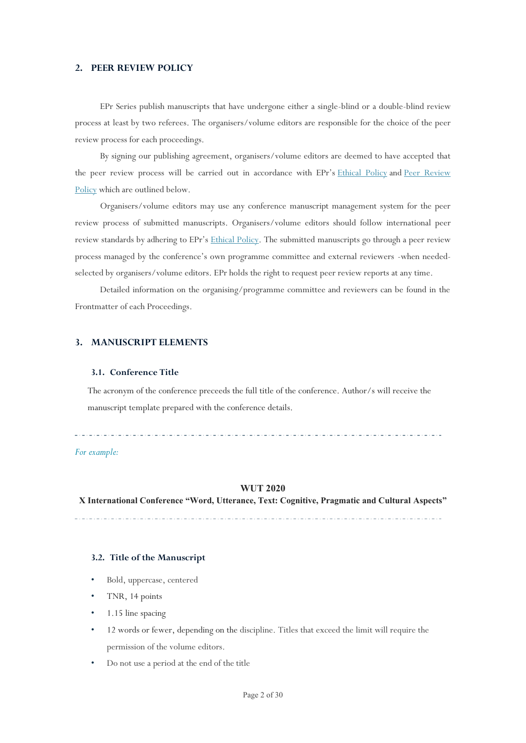# <span id="page-5-0"></span>**2. PEER REVIEW POLICY**

EPr Series publish manuscripts that have undergone either a single-blind or a double-blind review process at least by two referees. The organisers/volume editors are responsible for the choice of the peer review process for each proceedings.

By signing our publishing agreement, organisers/volume editors are deemed to have accepted that the peer review process will be carried out in accordance with EPr's [Ethical Policy](https://www.europeanpublisher.com/en/view/policy-ethical) and Peer Review [Policy](https://www.europeanpublisher.com/en/view/policy-peer-review) which are outlined below.

Organisers/volume editors may use any conference manuscript management system for the peer review process of submitted manuscripts. Organisers/volume editors should follow international peer review standards by adhering to EPr's [Ethical Policy.](https://www.europeanpublisher.com/en/view/policy-ethical) The submitted manuscripts go through a peer review process managed by the conference's own programme committee and external reviewers -when neededselected by organisers/volume editors. EPr holds the right to request peer review reports at any time.

Detailed information on the organising/programme committee and reviewers can be found in the Frontmatter of each Proceedings.

# <span id="page-5-1"></span>**3. MANUSCRIPT ELEMENTS**

#### <span id="page-5-2"></span>**3.1. Conference Title**

The acronym of the conference preceeds the full title of the conference. Author/s will receive the manuscript template prepared with the conference details.

#### *For example:*

#### **WUT 2020**

**X International Conference "Word, Utterance, Text: Cognitive, Pragmatic and Cultural Aspects"**

#### <span id="page-5-3"></span>**3.2. Title of the Manuscript**

- Bold, uppercase, centered
- TNR, 14 points
- 1.15 line spacing
- 12 words or fewer, depending on the discipline. Titles that exceed the limit will require the permission of the volume editors.
- Do not use a period at the end of the title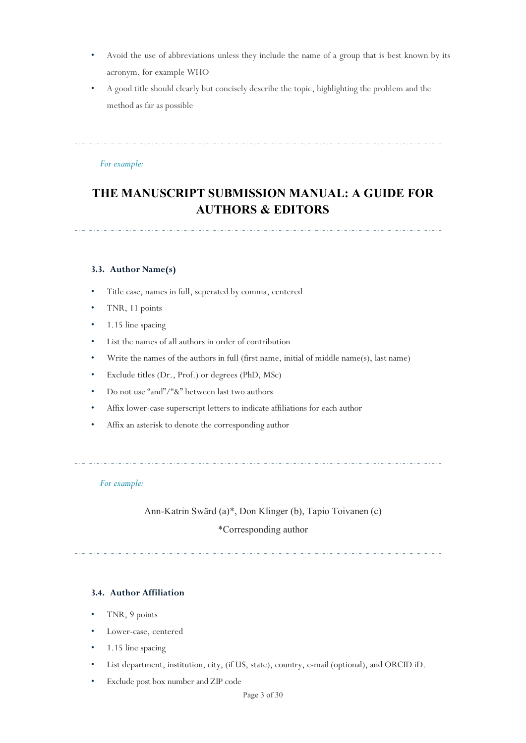- Avoid the use of abbreviations unless they include the name of a group that is best known by its acronym, for example WHO
- A good title should clearly but concisely describe the topic, highlighting the problem and the method as far as possible

# *For example:*

# **THE MANUSCRIPT SUBMISSION MANUAL: A GUIDE FOR AUTHORS & EDITORS**

<span id="page-6-0"></span>**3.3. Author Name(s)**

- Title case, names in full, seperated by comma, centered
- TNR, 11 points
- 1.15 line spacing
- List the names of all authors in order of contribution
- Write the names of the authors in full (first name, initial of middle name(s), last name)
- Exclude titles (Dr., Prof.) or degrees (PhD, MSc)
- Do not use "and"/"&" between last two authors
- Affix lower-case superscript letters to indicate affiliations for each author
- Affix an asterisk to denote the corresponding author

# *For example:*

Ann-Katrin Sward (a)\*, Don Klinger (b), Tapio Toivanen (c)

# \*Corresponding author

# <span id="page-6-1"></span>**3.4. Author Affiliation**

- TNR, 9 points
- Lower-case, centered
- 1.15 line spacing
- List department, institution, city, (if US, state), country, e-mail (optional), and ORCID iD.
- Exclude post box number and ZIP code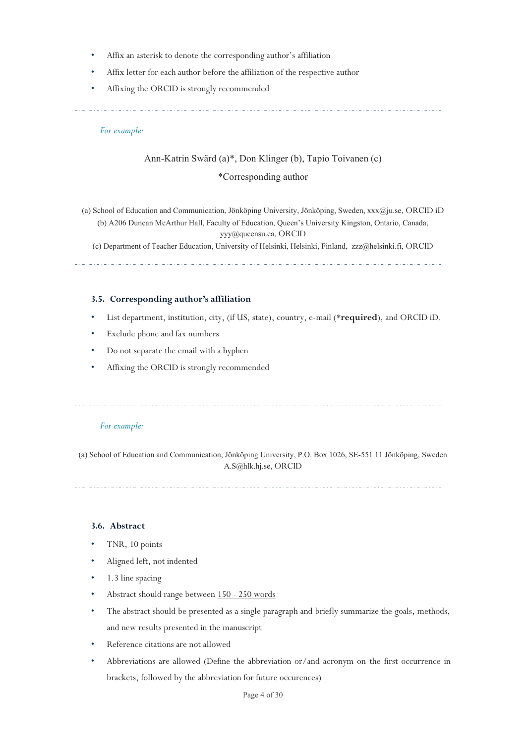- Affix an asterisk to denote the corresponding author's affiliation
- Affix letter for each author before the affiliation of the respective author
- Affixing the ORCID is strongly recommended

. . . . . . . . . . . . . . . . 

# *For example:*

# Ann-Katrin Sward (a)\*, Don Klinger (b), Tapio Toivanen (c)

# \*Corresponding author

(a) School of Education and Communication, Jönköping University, Jönköping, Sweden,  $xxx@$ ju.se, ORCID iD (b) A206 Duncan McArthur Hall, Faculty of Education, Queen's University Kingston, Ontario, Canada,

[yyy@queensu.ca,](mailto:yyy@queensu.ca) ORCID

(c) Department of Teacher Education, University of Helsinki, Helsinki, Finland, [zzz@helsinki.fi,](mailto:zzz@helsinki.fi) ORCID

# <span id="page-7-0"></span>**3.5. Corresponding author's affiliation**

- List department, institution, city, (if US, state), country, e-mail (\***required**), and ORCID iD.
- Exclude phone and fax numbers
- Do not separate the email with a hyphen
- Affixing the ORCID is strongly recommended

# *For example:*

(a) School of Education and Communication, Jönköping University, P.O. Box 1026, SE-551 11 Jönköping, Sweden [A.S@hlk.hj.se,](mailto:A.S@hlk.hj.se) ORCID

# <span id="page-7-1"></span>**3.6. Abstract**

- TNR, 10 points
- Aligned left, not indented
- 1.3 line spacing
- Abstract should range between 150 250 words
- The abstract should be presented as a single paragraph and briefly summarize the goals, methods, and new results presented in the manuscript
- Reference citations are not allowed
- Abbreviations are allowed (Define the abbreviation or/and acronym on the first occurrence in brackets, followed by the abbreviation for future occurences)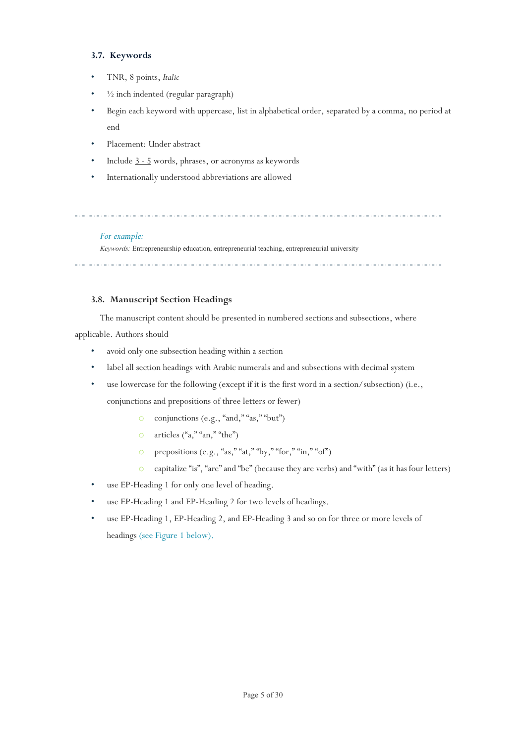# <span id="page-8-0"></span>**3.7. Keywords**

- TNR, 8 points, *Italic*
- $\frac{1}{2}$  inch indented (regular paragraph)
- Begin each keyword with uppercase, list in alphabetical order, separated by a comma, no period at end
- Placement: Under abstract
- Include 3 5 words, phrases, or acronyms as keywords
- Internationally understood abbreviations are allowed

# *For example:*

*Keywords:* Entrepreneurship education, entrepreneurial teaching, entrepreneurial university

. <u>. . . . . . . . . . . . . . . . . .</u> . .

# <span id="page-8-1"></span>**3.8. Manuscript Section Headings**

The manuscript content should be presented in numbered sections and subsections, where

applicable. Authors should

- avoid only one subsection heading within a section
- label all section headings with Arabic numerals and and subsections with decimal system
- use lowercase for the following (except if it is the first word in a section/subsection) (i.e.,

conjunctions and prepositions of three letters or fewer)

- o conjunctions (e.g., "and," "as," "but")
- o articles ("a," "an," "the")
- o prepositions (e.g., "as," "at," "by," "for," "in," "of")
- o capitalize "is", "are" and "be" (because they are verbs) and "with" (as it has four letters)
- use EP-Heading 1 for only one level of heading.
- use EP-Heading 1 and EP-Heading 2 for two levels of headings.
- use EP-Heading 1, EP-Heading 2, and EP-Heading 3 and so on for three or more levels of headings (see Figure 1 below).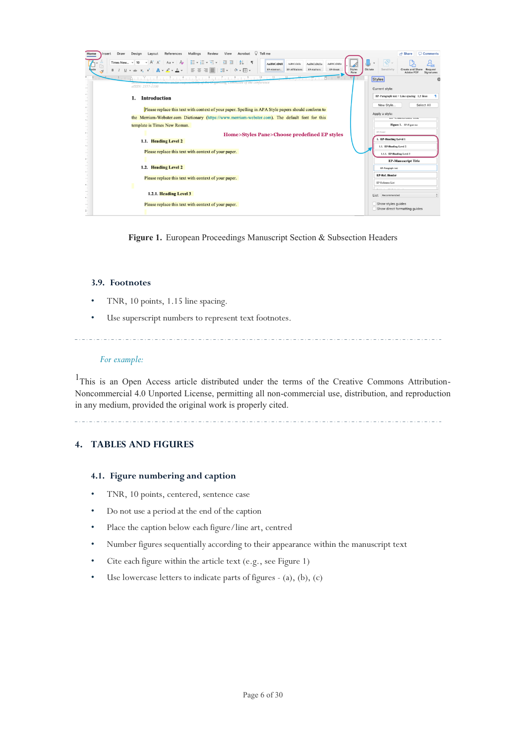| Acrobat $\bigcirc$ Tell me<br>Draw<br>References<br>Mailings<br>Review<br>View<br>Design<br>Layout<br>Insert<br>Home                                                                                                                                                                                                                                                                                                               |                           | <b>Comments</b><br>A Share                                                               |
|------------------------------------------------------------------------------------------------------------------------------------------------------------------------------------------------------------------------------------------------------------------------------------------------------------------------------------------------------------------------------------------------------------------------------------|---------------------------|------------------------------------------------------------------------------------------|
| ▽ A^ A^   Aa ▽   Ao   狂 ▽ 狂 ▽ 短 ▽   亞 亜<br>$21$ T<br>Times New v<br>10<br>AaBbCcDdEe<br>AaBbCcDdEe<br><b>AaBbCcDdI</b><br>AsBbCcDdEe<br>$\mathbb{L} \times \Rightarrow x, x^2 \mid \mathbb{A} \times \mathbb{L} \times \mathbb{A} \times \mid \exists \exists \exists \exists \exists \exists \exists x \mid \exists \circ \neg \forall \neg \forall x \exists x$<br>EP-Break<br>EP-Affiliations<br>EP-Authors<br>EP-Abstract<br>B | Styles<br>Dictate<br>Pane | Sensitivity<br>Request<br>Create and Share<br>Signatures                                 |
| きょうちょうぎょうきょうきょうぎょうきょうきょうきょうき<br>10<br>11                                                                                                                                                                                                                                                                                                                                                                                           |                           | <b>Styles</b><br>$\circ$                                                                 |
| of the Organizing Committee of the conference<br>eISSN: 2357-1330                                                                                                                                                                                                                                                                                                                                                                  |                           |                                                                                          |
| <b>Introduction</b>                                                                                                                                                                                                                                                                                                                                                                                                                |                           | Current style:<br>EP-Paragraph text + Line spacing: 1,5 lines<br>New Style<br>Select All |
| Please replace this text with context of your paper. Spelling in APA Style papers should conform to                                                                                                                                                                                                                                                                                                                                |                           |                                                                                          |
| the Merriam-Webster.com Dictionary (https://www.merriam-webster.com). The default font for this                                                                                                                                                                                                                                                                                                                                    |                           | Apply a style:<br><b>GET AUGUST LINES</b>                                                |
| template is Times New Roman.                                                                                                                                                                                                                                                                                                                                                                                                       |                           | Figure 1. EP-Figure no                                                                   |
| Home>Styles Pane>Choose predefined EP styles                                                                                                                                                                                                                                                                                                                                                                                       |                           | EP.Footer                                                                                |
| 1.1. Heading Level 2                                                                                                                                                                                                                                                                                                                                                                                                               |                           | 1. EP-Heading Level 1                                                                    |
|                                                                                                                                                                                                                                                                                                                                                                                                                                    |                           | 1.1. EP-Heading Level 2                                                                  |
| Please replace this text with context of your paper.                                                                                                                                                                                                                                                                                                                                                                               |                           | 1.1.1. EP-Heading Level 3                                                                |
|                                                                                                                                                                                                                                                                                                                                                                                                                                    |                           | <b>EP-Manuscript Title</b>                                                               |
| 1.2. Heading Level 2                                                                                                                                                                                                                                                                                                                                                                                                               |                           | EP-Paragraph text                                                                        |
|                                                                                                                                                                                                                                                                                                                                                                                                                                    |                           | <b>EP-Ref. Header</b>                                                                    |
| Please replace this text with context of your paper.                                                                                                                                                                                                                                                                                                                                                                               |                           | EP-Reference List                                                                        |
|                                                                                                                                                                                                                                                                                                                                                                                                                                    |                           |                                                                                          |
| 1.2.1. Heading Level 3                                                                                                                                                                                                                                                                                                                                                                                                             |                           | List: Recommended                                                                        |
| Please replace this text with context of your paper.                                                                                                                                                                                                                                                                                                                                                                               |                           | Show styles guides<br>Show direct formatting guides                                      |
|                                                                                                                                                                                                                                                                                                                                                                                                                                    |                           |                                                                                          |

Figure 1. European Proceedings Manuscript Section & Subsection Headers

# <span id="page-9-0"></span>**3.9. Footnotes**

- TNR, 10 points, 1.15 line spacing.
- Use superscript numbers to represent text footnotes.

# *For example:*

<sup>1</sup>This is an Open Access article distributed under the terms of the Creative Commons Attribution-Noncommercial 4.0 Unported License, permitting all non-commercial use, distribution, and reproduction in any medium, provided the original work is properly cited.

# <span id="page-9-1"></span>**4. TABLES AND FIGURES**

# <span id="page-9-2"></span>**4.1. Figure numbering and caption**

- TNR, 10 points, centered, sentence case
- Do not use a period at the end of the caption
- Place the caption below each figure/line art, centred
- Number figures sequentially according to their appearance within the manuscript text
- Cite each figure within the article text (e.g., see Figure 1)
- Use lowercase letters to indicate parts of figures (a), (b), (c)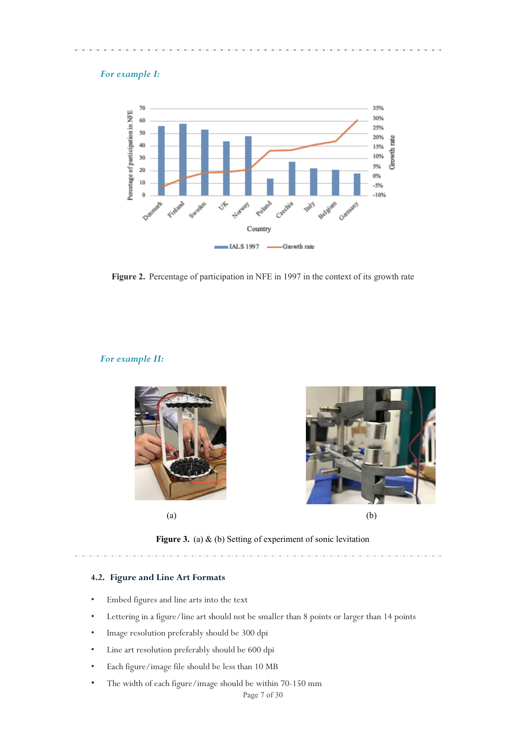# *For example I:*



Figure 2. Percentage of participation in NFE in 1997 in the context of its growth rate

#### *For example II:*



**Figure 3.** (a) & (b) Setting of experiment of sonic levitation

# <span id="page-10-0"></span>**4.2. Figure and Line Art Formats**

- Embed figures and line arts into the text
- Lettering in a figure/line art should not be smaller than 8 points or larger than 14 points
- Image resolution preferably should be 300 dpi
- Line art resolution preferably should be 600 dpi
- Each figure/image file should be less than 10 MB
- The width of each figure/image should be within 70-150 mm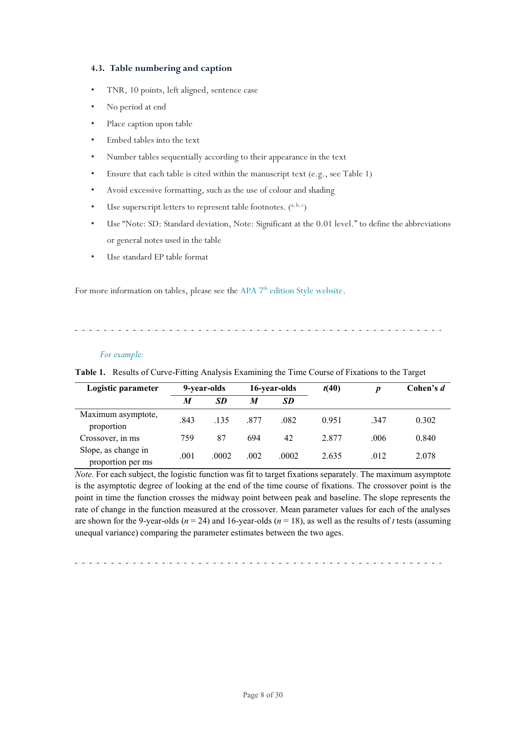# <span id="page-11-0"></span>**4.3. Table numbering and caption**

- TNR, 10 points, left aligned, sentence case
- No period at end
- Place caption upon table
- Embed tables into the text
- Number tables sequentially according to their appearance in the text
- Ensure that each table is cited within the manuscript text (e.g., see Table 1)
- Avoid excessive formatting, such as the use of colour and shading
- Use superscript letters to represent table footnotes.  $(^{a, b, c})$
- Use "Note: SD: Standard deviation, Note: Significant at the 0.01 level." to define the abbreviations or general notes used in the table
- Use standard EP table format

For more information on tables, please see the APA 7<sup>th</sup> edition Style [website.](https://apastyle.apa.org/style-grammar-guidelines/tables-figures/basic-table-setup)

#### *For example:*

**Table 1.** Results of Curve-Fitting Analysis Examining the Time Course of Fixations to the Target

| Logistic parameter                       | 9-year-olds |           | 16-year-olds |           | t(40) | $\boldsymbol{D}$ | Cohen's d |
|------------------------------------------|-------------|-----------|--------------|-----------|-------|------------------|-----------|
|                                          | M           | <b>SD</b> | M            | <b>SD</b> |       |                  |           |
| Maximum asymptote,<br>proportion         | .843        | .135      | 877          | .082      | 0.951 | .347             | 0.302     |
| Crossover, in ms                         | 759         | 87        | 694          | 42        | 2.877 | .006             | 0.840     |
| Slope, as change in<br>proportion per ms | .001        | .0002     | .002         | .0002     | 2.635 | .012             | 2.078     |

*Note.* For each subject, the logistic function was fit to target fixations separately. The maximum asymptote is the asymptotic degree of looking at the end of the time course of fixations. The crossover point is the point in time the function crosses the midway point between peak and baseline. The slope represents the rate of change in the function measured at the crossover. Mean parameter values for each of the analyses are shown for the 9-year-olds ( $n = 24$ ) and 16-year-olds ( $n = 18$ ), as well as the results of *t* tests (assuming unequal variance) comparing the parameter estimates between the two ages.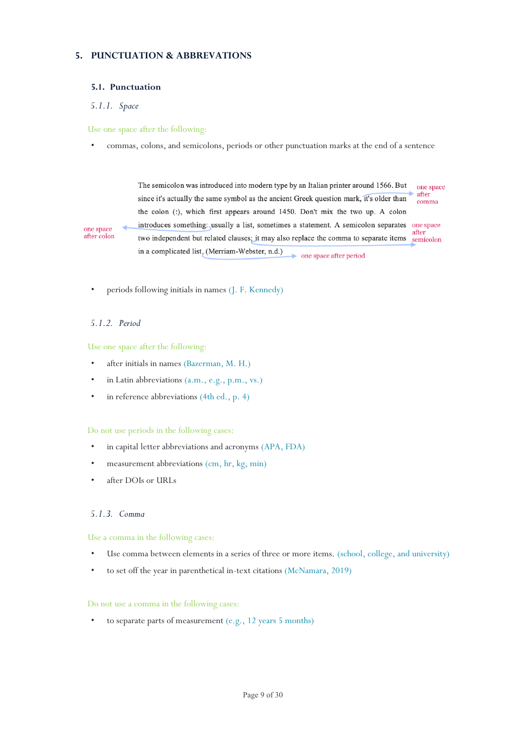# <span id="page-12-0"></span>**5. PUNCTUATION & ABBREVATIONS**

# <span id="page-12-1"></span>**5.1. Punctuation**

# <span id="page-12-2"></span>*5.1.1. Space*

# Use one space after the following:

• commas, colons, and semicolons, periods or other punctuation marks at the end of a sentence

The semicolon was introduced into modern type by an Italian printer around 1566. But one space after since it's actually the same symbol as the ancient Greek question mark, it's older than comma the colon (:), which first appears around 1450. Don't mix the two up. A colon introduces something: usually a list, sometimes a statement. A semicolon separates one space after two independent but related clauses; it may also replace the comma to separate items semicolon in a complicated list, (Merriam-Webster, n.d.) one space after period

• periods following initials in names (J. F. Kennedy)

# <span id="page-12-3"></span>*5.1.2. Period*

one space

after colon

Use one space after the following:

- after initials in names (Bazerman, M. H.)
- in Latin abbreviations (a.m., e.g., p.m., vs.)
- in reference abbreviations (4th ed., p. 4)

#### Do not use periods in the following cases:

- in capital letter abbreviations and acronyms (APA, FDA)
- measurement abbreviations (cm, hr, kg, min)
- after DOIs or URLs

# <span id="page-12-4"></span>*5.1.3. Comma*

#### Use a comma in the following cases:

- Use comma between elements in a series of three or more items. (school, college, and university)
- to set off the year in parenthetical in-text citations (McNamara, 2019)

#### Do not use a comma in the following cases:

• to separate parts of measurement (e.g., 12 years 5 months)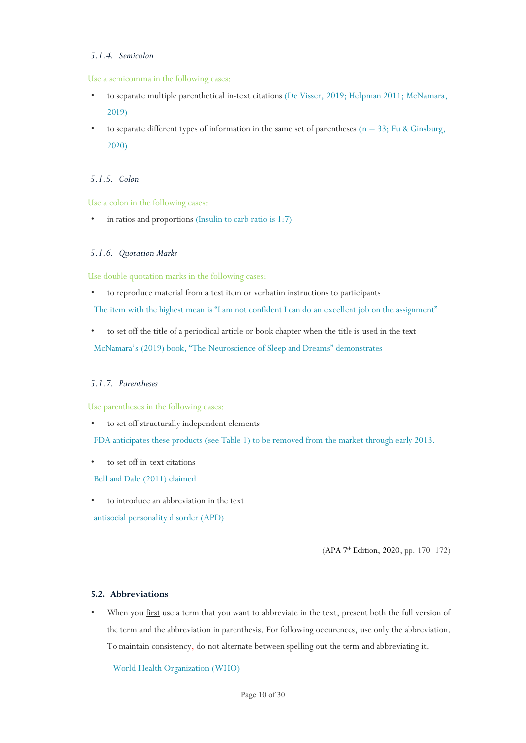# <span id="page-13-0"></span>*5.1.4. Semicolon*

#### Use a semicomma in the following cases:

- to separate multiple parenthetical in-text citations (De Visser, 2019; Helpman 2011; McNamara, 2019)
- to separate different types of information in the same set of parentheses ( $n = 33$ ; Fu & Ginsburg, 2020)

# <span id="page-13-1"></span>*5.1.5. Colon*

Use a colon in the following cases:

in ratios and proportions (Insulin to carb ratio is  $1:7$ )

# <span id="page-13-2"></span>*5.1.6. Quotation Marks*

Use double quotation marks in the following cases:

• to reproduce material from a test item or verbatim instructions to participants

The item with the highest mean is "I am not confident I can do an excellent job on the assignment"

• to set off the title of a periodical article or book chapter when the title is used in the text McNamara's (2019) book, "The Neuroscience of Sleep and Dreams" demonstrates

# <span id="page-13-3"></span>*5.1.7. Parentheses*

Use parentheses in the following cases:

• to set off structurally independent elements

FDA anticipates these products (see Table 1) to be removed from the market through early 2013.

• to set off in-text citations

Bell and Dale (2011) claimed

• to introduce an abbreviation in the text

antisocial personality disorder (APD)

(APA 7<sup>th</sup> [Edition, 2020,](https://apastyle.apa.org/products/publication-manual-7th-edition) pp. 170-172)

# <span id="page-13-4"></span>**5.2. Abbreviations**

When you first use a term that you want to abbreviate in the text, present both the full version of the term and the abbreviation in parenthesis. For following occurences, use only the abbreviation. To maintain consistency, do not alternate between spelling out the term and abbreviating it.

World Health Organization (WHO)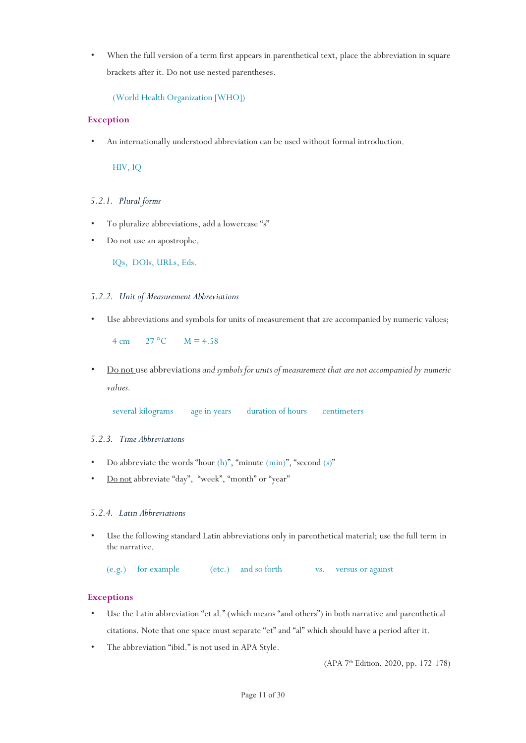• When the full version of a term first appears in parenthetical text, place the abbreviation in square brackets after it. Do not use nested parentheses.

```
(World Health Organization [WHO])
```
# **Exception**

• An internationally understood abbreviation can be used without formal introduction.

HIV, IQ

# <span id="page-14-0"></span>*5.2.1. Plural forms*

- To pluralize abbreviations, add a lowercase "s"
- Do not use an apostrophe.

IQs, DOIs, URLs, Eds.

# <span id="page-14-1"></span>*5.2.2. Unit of Measurement Abbreviations*

• Use abbreviations and symbols for units of measurement that are accompanied by numeric values;

 $4 \text{ cm}$   $27 \text{ °C}$   $M = 4.58$ 

• Do not use abbreviations*and symbols for units of measurement that are not accompanied by numeric values.*

several kilograms age in years duration of hours centimeters

# <span id="page-14-2"></span>*5.2.3. Time Abbreviations*

- Do abbreviate the words "hour (h)", "minute (min)", "second (s)"
- Do not abbreviate "day", "week", "month" or "year"

# <span id="page-14-3"></span>*5.2.4. Latin Abbreviations*

• Use the following standard Latin abbreviations only in parenthetical material; use the full term in the narrative.

(e.g.) for example (etc.) and so forth vs. versus or against

# **Exceptions**

- Use the Latin abbreviation "et al." (which means "and others") in both narrative and parenthetical citations. Note that one space must separate "et" and "al" which should have a period after it.
- The abbreviation "ibid." is not used in APA Style.

(APA 7 th [Edition, 2020, pp. 172-178\)](https://apastyle.apa.org/products/publication-manual-7th-edition)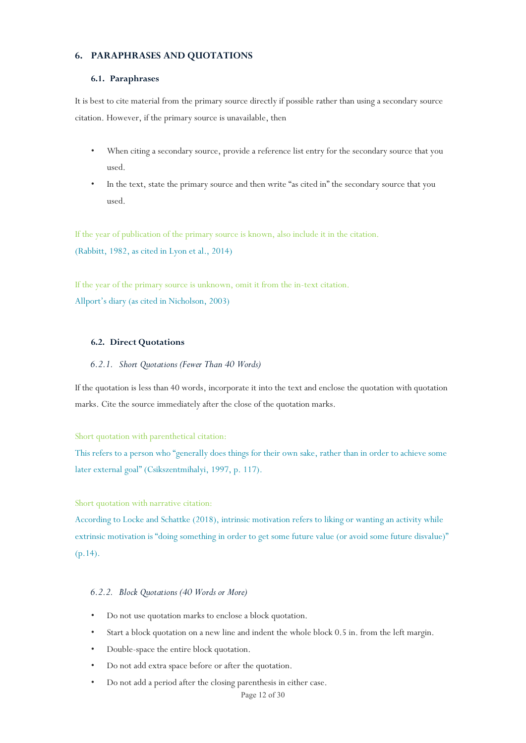# <span id="page-15-0"></span>**6. PARAPHRASES AND QUOTATIONS**

#### <span id="page-15-1"></span>**6.1. Paraphrases**

It is best to cite material from the primary source directly if possible rather than using a secondary source citation. However, if the primary source is unavailable, then

- When citing a secondary source, provide a reference list entry for the secondary source that you used.
- In the text, state the primary source and then write "as cited in" the secondary source that you used.

If the year of publication of the primary source is known, also include it in the citation. (Rabbitt, 1982, as cited in Lyon et al., 2014)

If the year of the primary source is unknown, omit it from the in-text citation. Allport's diary (as cited in Nicholson, 2003)

#### <span id="page-15-2"></span>**6.2. Direct Quotations**

#### <span id="page-15-3"></span>*6.2.1. Short Quotations (Fewer Than 40 Words)*

If the quotation is less than 40 words, incorporate it into the text and enclose the quotation with quotation marks. Cite the source immediately after the close of the quotation marks.

#### Short quotation with parenthetical citation:

This refers to a person who "generally does things for their own sake, rather than in order to achieve some later external goal" (Csikszentmihalyi, 1997, p. 117).

#### Short quotation with narrative citation:

According to Locke and Schattke (2018), intrinsic motivation refers to liking or wanting an activity while extrinsic motivation is "doing something in order to get some future value (or avoid some future disvalue)" (p.14).

# <span id="page-15-4"></span>*6.2.2. Block Quotations (40 Words or More)*

- Do not use quotation marks to enclose a block quotation.
- Start a block quotation on a new line and indent the whole block 0.5 in. from the left margin.
- Double-space the entire block quotation.
- Do not add extra space before or after the quotation.
- Do not add a period after the closing parenthesis in either case.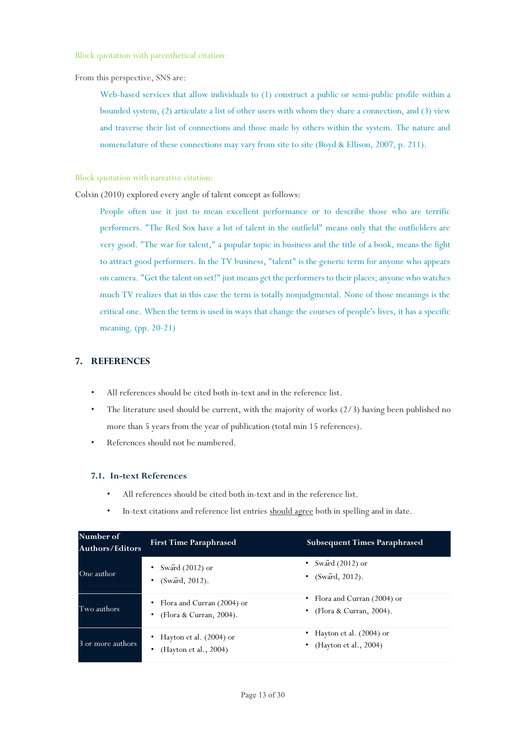Block quotation with parenthetical citation:

From this perspective, SNS are:

Web-based services that allow individuals to (1) construct a public or semi-public profile within a bounded system, (2) articulate a list of other users with whom they share a connection, and (3) view and traverse their list of connections and those made by others within the system. The nature and nomenclature of these connections may vary from site to site (Boyd & Ellison, 2007, p. 211).

Block quotation with narrative citation:

Colvin (2010) explored every angle of talent concept as follows:

People often use it just to mean excellent performance or to describe those who are terrific performers. "The Red Sox have a lot of talent in the outfield" means only that the outfielders are very good. "The war for talent," a popular topic in business and the title of a book, means the fight to attract good performers. In the TV business, "talent" is the generic term for anyone who appears on camera. "Get the talent on set!" just means get the performers to their places; anyone who watches much TV realizes that in this case the term is totally nonjudgmental. None of those meanings is the critical one. When the term is used in ways that change the courses of people's lives, it has a specific meaning. (pp. 20-21)

# <span id="page-16-0"></span>**7. REFERENCES**

- All references should be cited both in-text and in the reference list.
- The literature used should be current, with the majority of works (2/3) having been published no more than 5 years from the year of publication (total min 15 references).
- References should not be numbered.

#### <span id="page-16-1"></span>**7.1. In-text References**

- All references should be cited both in-text and in the reference list.
- In-text citations and reference list entries should agree both in spelling and in date.

| Number of<br>Authors/Editors | <b>First Time Paraphrased</b>                             | <b>Subsequent Times Paraphrased</b>                            |
|------------------------------|-----------------------------------------------------------|----------------------------------------------------------------|
| One author                   | • Sward $(2012)$ or<br>• $(Sward, 2012)$ .                | • Sward $(2012)$ or<br>• $(Sward, 2012)$ .                     |
| Two authors                  | • Flora and Curran $(2004)$ or<br>(Flora & Curran, 2004). | • Flora and Curran $(2004)$ or<br>(Flora & Curran, 2004).<br>٠ |
| 3 or more authors            | • Hayton et al. (2004) or<br>(Hayton et al., 2004)        | • Hayton et al. $(2004)$ or<br>• (Hayton et al., 2004)         |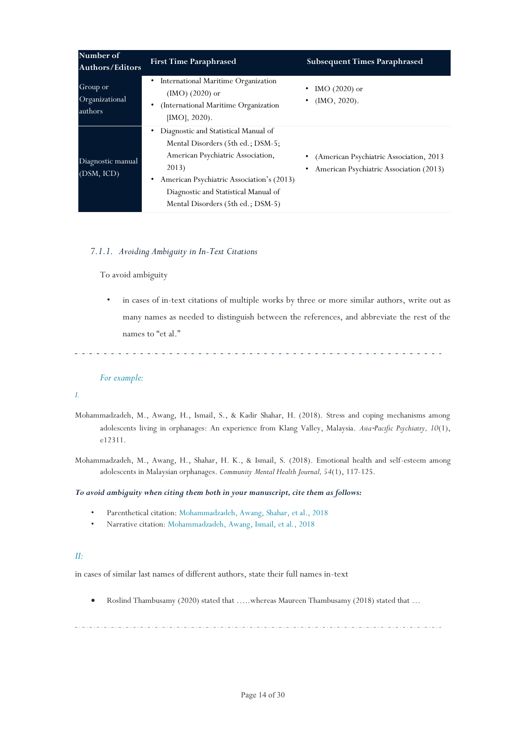| Number of<br><b>Authors/Editors</b>   | <b>First Time Paraphrased</b>                                                                                                                                                                                                                     | <b>Subsequent Times Paraphrased</b>                                                 |
|---------------------------------------|---------------------------------------------------------------------------------------------------------------------------------------------------------------------------------------------------------------------------------------------------|-------------------------------------------------------------------------------------|
| Group or<br>Organizational<br>authors | International Maritime Organization<br>$(MO)$ (2020) or<br>(International Maritime Organization<br>$[IMO], 2020$ .                                                                                                                                | IMO $(2020)$ or<br>$\bullet$<br>$(MO, 2020)$ .                                      |
| Diagnostic manual<br>(DSM, ICD)       | Diagnostic and Statistical Manual of<br>Mental Disorders (5th ed.; DSM-5;<br>American Psychiatric Association,<br>2013)<br>American Psychiatric Association's (2013)<br>Diagnostic and Statistical Manual of<br>Mental Disorders (5th ed.; DSM-5) | (American Psychiatric Association, 2013)<br>American Psychiatric Association (2013) |

# <span id="page-17-0"></span>*7.1.1. Avoiding Ambiguity in In-Text Citations*

To avoid ambiguity

• in cases of in-text citations of multiple works by three or more similar authors, write out as many names as needed to distinguish between the references, and abbreviate the rest of the names to "et al."

# *For example:*

# *I.*

- Mohammadzadeh, M., Awang, H., Ismail, S., & Kadir Shahar, H. (2018). Stress and coping mechanisms among adolescents living in orphanages: An experience from Klang Valley, Malaysia. *Asia*‐*Pacific Psychiatry, 10*(1), e12311.
- Mohammadzadeh, M., Awang, H., Shahar, H. K., & Ismail, S. (2018). Emotional health and self-esteem among adolescents in Malaysian orphanages. *Community Mental Health Journal, 54*(1), 117-125.

# *To avoid ambiguity when citing them both in your manuscript, cite them as follows:*

- Parenthetical citation: Mohammadzadeh, Awang, Shahar, et al., 2018
- Narrative citation: Mohammadzadeh, Awang, Ismail, et al., 2018

# *II:*

in cases of similar last names of different authors, state their full names in-text

• Roslind Thambusamy (2020) stated that ……whereas Maureen Thambusamy (2018) stated that …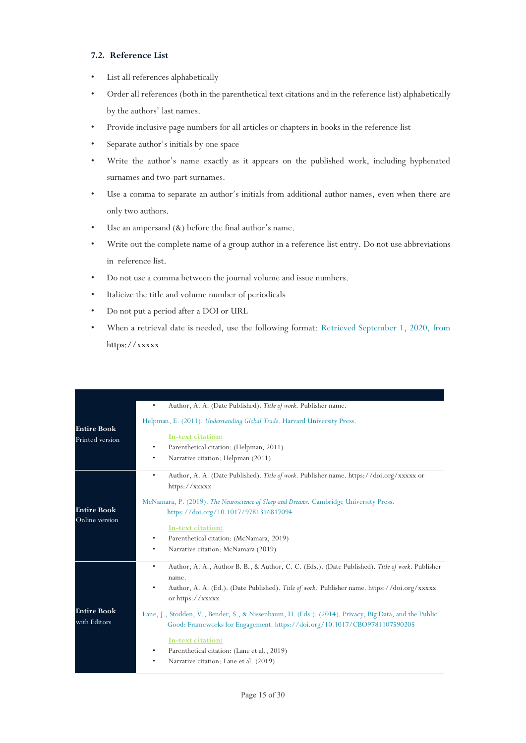# <span id="page-18-0"></span>**7.2. Reference List**

- List all references alphabetically
- Order all references (both in the parenthetical text citations and in the reference list) alphabetically by the authors' last names.
- Provide inclusive page numbers for all articles or chapters in books in the reference list
- Separate author's initials by one space
- Write the author's name exactly as it appears on the published work, including hyphenated surnames and two-part surnames.
- Use a comma to separate an author's initials from additional author names, even when there are only two authors.
- Use an ampersand (&) before the final author's name.
- Write out the complete name of a group author in a reference list entry. Do not use abbreviations in reference list.
- Do not use a comma between the journal volume and issue numbers.
- Italicize the title and volume number of periodicals
- Do not put a period after a DOI or URL
- When a retrieval date is needed, use the following format: Retrieved September 1, 2020, from [https://xxxxx](https://xxxxx/)

|                    | Author, A. A. (Date Published). Title of work. Publisher name.<br>$\bullet$                                           |
|--------------------|-----------------------------------------------------------------------------------------------------------------------|
| <b>Entire Book</b> | Helpman, E. (2011). Understanding Global Trade. Harvard University Press.                                             |
| Printed version    | In-text citation:                                                                                                     |
|                    | Parenthetical citation: (Helpman, 2011)<br>٠                                                                          |
|                    | Narrative citation: Helpman (2011)<br>٠                                                                               |
|                    | Author, A. A. (Date Published). Title of work. Publisher name. https://doi.org/xxxxx or<br>$\bullet$                  |
|                    | https://xxxxx                                                                                                         |
|                    | McNamara, P. (2019). The Neuroscience of Sleep and Dreams. Cambridge University Press.                                |
| <b>Entire Book</b> | https://doi.org/10.1017/9781316817094                                                                                 |
| Online version     |                                                                                                                       |
|                    | In-text citation:<br>Parenthetical citation: (McNamara, 2019)<br>$\bullet$                                            |
|                    | Narrative citation: McNamara (2019)<br>$\bullet$                                                                      |
|                    |                                                                                                                       |
|                    | Author, A. A., Author B. B., & Author, C. C. (Eds.). (Date Published). Title of work. Publisher<br>$\bullet$<br>name. |
|                    | Author, A. A. (Ed.). (Date Published). Title of work. Publisher name. https://doi.org/xxxxx                           |
|                    | or https://xxxxx                                                                                                      |
| <b>Entire Book</b> | Lane, J., Stodden, V., Bender, S., & Nissenbaum, H. (Eds.). (2014). Privacy, Big Data, and the Public                 |
| with Editors       | Good: Frameworks for Engagement. https://doi.org/10.1017/CBO9781107590205                                             |
|                    | In-text citation:                                                                                                     |
|                    | Parenthetical citation: (Lane et al., 2019)<br>٠                                                                      |
|                    | Narrative citation: Lane et al. (2019)<br>٠                                                                           |
|                    |                                                                                                                       |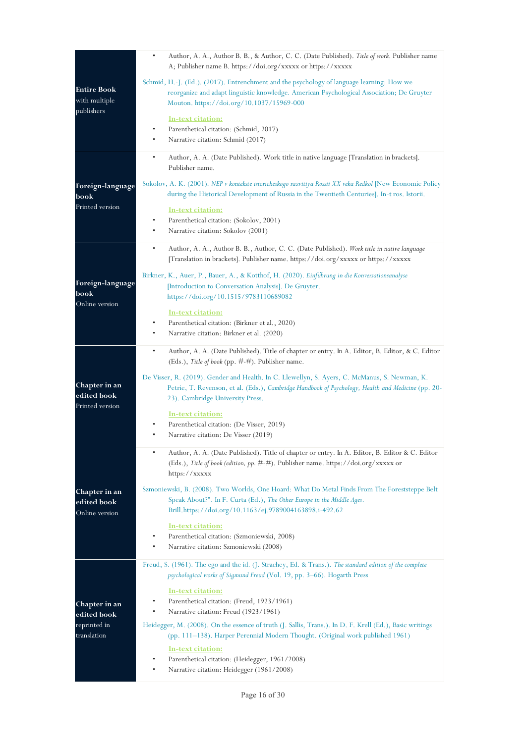|                                                   | Author, A. A., Author B. B., & Author, C. C. (Date Published). Title of work. Publisher name<br>$\bullet$<br>A; Publisher name B. https://doi.org/xxxxx or https://xxxxx                                                                |
|---------------------------------------------------|-----------------------------------------------------------------------------------------------------------------------------------------------------------------------------------------------------------------------------------------|
| <b>Entire Book</b><br>with multiple<br>publishers | Schmid, H.-J. (Ed.). (2017). Entrenchment and the psychology of language learning: How we<br>reorganize and adapt linguistic knowledge. American Psychological Association; De Gruyter<br>Mouton. https://doi.org/10.1037/15969-000     |
|                                                   | <u>In-text citation:</u><br>Parenthetical citation: (Schmid, 2017)<br>$\bullet$<br>Narrative citation: Schmid (2017)                                                                                                                    |
|                                                   | $\bullet$<br>Author, A. A. (Date Published). Work title in native language [Translation in brackets].<br>Publisher name.                                                                                                                |
| Foreign-language<br>book                          | Sokolov, A. K. (2001). <i>NEP v kontekste istoricheskogo razvitiya Rossii XX veka Redkol</i> [New Economic Policy<br>during the Historical Development of Russia in the Twentieth Centuries]. In-t ros. Istorii.                        |
| Printed version                                   | <u>In-text citation:</u><br>Parenthetical citation: (Sokolov, 2001)<br>$\bullet$<br>٠<br>Narrative citation: Sokolov (2001)                                                                                                             |
|                                                   | Author, A. A., Author B. B., Author, C. C. (Date Published). Work title in native language<br>$\bullet$<br>[Translation in brackets]. Publisher name. https://doi.org/xxxxx or https://xxxxx                                            |
| Foreign-language<br>book<br>Online version        | Birkner, K., Auer, P., Bauer, A., & Kotthof, H. (2020). <i>Einfuhrung in die Konversationsanalyse</i><br>[Introduction to Conversation Analysis]. De Gruyter.<br>https://doi.org/10.1515/9783110689082                                  |
|                                                   | <u>In-text citation:</u><br>Parenthetical citation: (Birkner et al., 2020)<br>$\bullet$<br>Narrative citation: Birkner et al. (2020)                                                                                                    |
|                                                   | $\bullet$<br>Author, A. A. (Date Published). Title of chapter or entry. In A. Editor, B. Editor, & C. Editor<br>(Eds.), Title of book (pp. $\#$ - $\#$ ). Publisher name.                                                               |
| Chapter in an<br>edited book<br>Printed version   | De Visser, R. (2019). Gender and Health. In C. Llewellyn, S. Ayers, C. McManus, S. Newman, K.<br>Petrie, T. Revenson, et al. (Eds.), Cambridge Handbook of Psychology, Health and Medicine (pp. 20-<br>23). Cambridge University Press. |
|                                                   | <u>In-text citation:</u><br>Parenthetical citation: (De Visser, 2019)<br>٠<br>Narrative citation: De Visser (2019)<br>٠                                                                                                                 |
|                                                   | ٠<br>Author, A. A. (Date Published). Title of chapter or entry. In A. Editor, B. Editor & C. Editor<br>(Eds.), Title of book (edition, pp. #-#). Publisher name. https://doi.org/xxxxx or<br>https:// $xxxx$                            |
| Chapter in an<br>edited book<br>Online version    | Szmoniewski, B. (2008). Two Worlds, One Hoard: What Do Metal Finds From The Foreststeppe Belt<br>Speak About?". In F. Curta (Ed.), The Other Europe in the Middle Ages.<br>Brill.https://doi.org/10.1163/ej.9789004163898.i-492.62      |
|                                                   | <u>In-text citation:</u><br>Parenthetical citation: (Szmoniewski, 2008)<br>$\bullet$<br>Narrative citation: Szmoniewski (2008)                                                                                                          |
|                                                   | Freud, S. (1961). The ego and the id. (J. Strachey, Ed. & Trans.). The standard edition of the complete<br>psychological works of Sigmund Freud (Vol. 19, pp. 3–66). Hogarth Press                                                      |
| Chapter in an<br>edited book                      | <u>In-text citation:</u><br>Parenthetical citation: (Freud, 1923/1961)<br>$\bullet$<br>Narrative citation: Freud (1923/1961)<br>٠                                                                                                       |
| reprinted in<br>translation                       | Heidegger, M. (2008). On the essence of truth (J. Sallis, Trans.). In D. F. Krell (Ed.), Basic writings<br>(pp. 111–138). Harper Perennial Modern Thought. (Original work published 1961)                                               |
|                                                   | In-text citation:<br>Parenthetical citation: (Heidegger, 1961/2008)<br>Narrative citation: Heidegger (1961/2008)                                                                                                                        |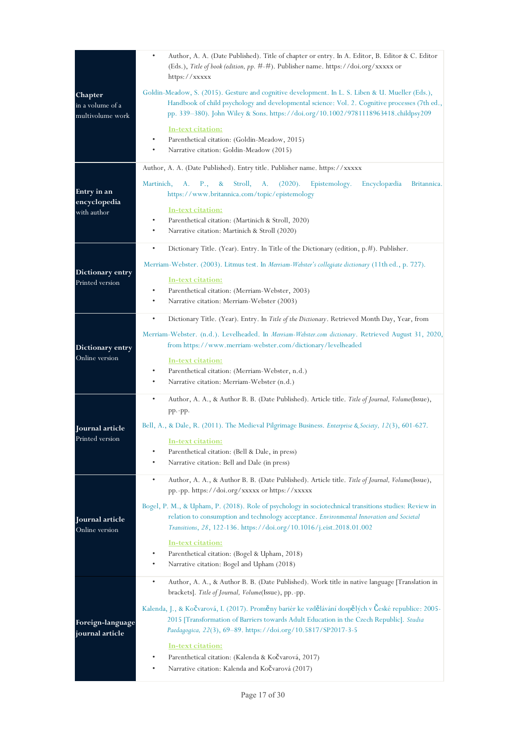|                                                 | Author, A. A. (Date Published). Title of chapter or entry. In A. Editor, B. Editor & C. Editor<br>(Eds.), Title of book (edition, pp. #-#). Publisher name. https://doi.org/xxxxx or<br>https://xxxxx                                                                                                                                                                                                                                                                                                                                                                        |
|-------------------------------------------------|------------------------------------------------------------------------------------------------------------------------------------------------------------------------------------------------------------------------------------------------------------------------------------------------------------------------------------------------------------------------------------------------------------------------------------------------------------------------------------------------------------------------------------------------------------------------------|
| Chapter<br>in a volume of a<br>multivolume work | Goldin-Meadow, S. (2015). Gesture and cognitive development. In L. S. Liben & U. Mueller (Eds.),<br>Handbook of child psychology and developmental science: Vol. 2. Cognitive processes (7th ed.,<br>pp. 339–380). John Wiley & Sons. https://doi.org/10.1002/9781118963418.childpsy209<br><u>In-text citation:</u><br>Parenthetical citation: (Goldin-Meadow, 2015)<br>Narrative citation: Goldin-Meadow (2015)                                                                                                                                                             |
| Entry in an<br>encyclopedia<br>with author      | Author, A. A. (Date Published). Entry title. Publisher name. https://xxxxx<br>P.,<br>Stroll,<br>(2020).<br>Epistemology.<br>Encyclopædia<br>Martinich,<br>A.<br>&<br>A.<br>Britannica.<br>https://www.britannica.com/topic/epistemology<br>In-text citation:<br>Parenthetical citation: (Martinich & Stroll, 2020)<br>Narrative citation: Martinich & Stroll (2020)                                                                                                                                                                                                          |
| Dictionary entry<br>Printed version             | ٠<br>Dictionary Title. (Year). Entry. In Title of the Dictionary (edition, $p. \#$ ). Publisher.<br>Merriam-Webster. (2003). Litmus test. In <i>Merriam-Webster's collegiate dictionary</i> (11th ed., p. 727).<br>In-text citation:<br>Parenthetical citation: (Merriam-Webster, 2003)<br>٠<br>$\bullet$<br>Narrative citation: Merriam-Webster (2003)                                                                                                                                                                                                                      |
| Dictionary entry<br>Online version              | ٠<br>Dictionary Title. (Year). Entry. In Title of the Dictionary. Retrieved Month Day, Year, from<br>Merriam-Webster. (n.d.). Levelheaded. In Merriam-Webster.com dictionary. Retrieved August 31, 2020,<br>from https://www.merriam-webster.com/dictionary/levelheaded<br>In-text citation:<br>Parenthetical citation: (Merriam-Webster, n.d.)<br>Narrative citation: Merriam-Webster (n.d.)                                                                                                                                                                                |
| Journal article<br>Printed version              | $\bullet$<br>Author, A. A., & Author B. B. (Date Published). Article title. Title of Journal, Volume(Issue),<br>$pp$ . $pp$ .<br>Bell, A., & Dale, R. (2011). The Medieval Pilgrimage Business. <i>Enterprise &amp; Society</i> , 12(3), 601-627.<br>In-text citation:<br>Parenthetical citation: (Bell & Dale, in press)<br>Narrative citation: Bell and Dale (in press)                                                                                                                                                                                                    |
| Journal article<br>Online version               | Author, A. A., & Author B. B. (Date Published). Article title. Title of Journal, Volume(Issue),<br>٠<br>pp.-pp. https://doi.org/xxxxx or https://xxxxx<br>Bogel, P. M., & Upham, P. (2018). Role of psychology in sociotechnical transitions studies: Review in<br>relation to consumption and technology acceptance. Environmental Innovation and Societal<br>Transitions, 28, 122-136. https://doi.org/10.1016/j.eist.2018.01.002<br><u>In-text citation:</u><br>Parenthetical citation: (Bogel & Upham, 2018)<br>Narrative citation: Bogel and Upham (2018)               |
| Foreign-language<br>journal article             | Author, A. A., & Author B. B. (Date Published). Work title in native language [Translation in<br>$\bullet$<br>brackets]. Title of Journal, Volume(Issue), pp.-pp.<br>Kalenda, J., & Kočvarová, I. (2017). Proměny bariér ke vzdělávání dospělých v České republice: 2005-<br>2015 [Transformation of Barriers towards Adult Education in the Czech Republic]. Studia<br>Paedagogica, 22(3), 69–89. https://doi.org/10.5817/SP2017-3-5<br><u>In-text citation:</u><br>Parenthetical citation: (Kalenda & KoČvarová, 2017)<br>Narrative citation: Kalenda and KoČvarová (2017) |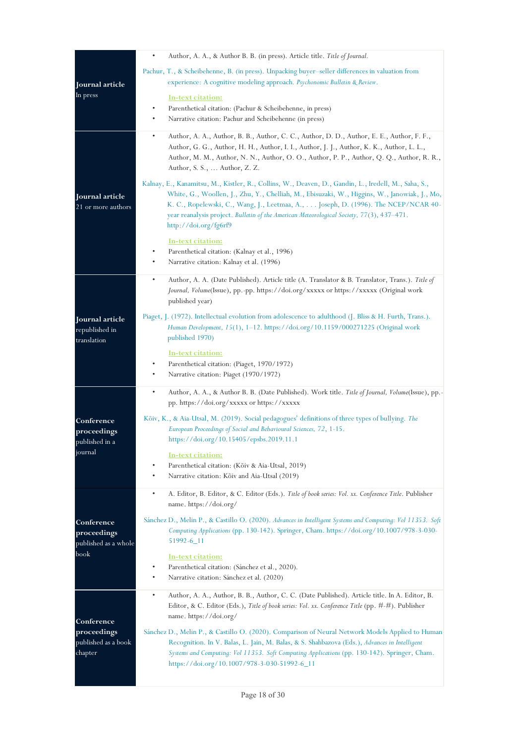|                                                   | Author, A. A., & Author B. B. (in press). Article title. Title of Journal.<br>$\bullet$                                                                                                                                                                                                                                                                                                                         |
|---------------------------------------------------|-----------------------------------------------------------------------------------------------------------------------------------------------------------------------------------------------------------------------------------------------------------------------------------------------------------------------------------------------------------------------------------------------------------------|
|                                                   | Pachur, T., & Scheibehenne, B. (in press). Unpacking buyer-seller differences in valuation from                                                                                                                                                                                                                                                                                                                 |
| Journal article                                   | experience: A cognitive modeling approach. Psychonomic Bulletin & Review.                                                                                                                                                                                                                                                                                                                                       |
| In press                                          | <u>In-text citation:</u>                                                                                                                                                                                                                                                                                                                                                                                        |
|                                                   | Parenthetical citation: (Pachur & Scheibehenne, in press)<br>٠                                                                                                                                                                                                                                                                                                                                                  |
|                                                   | Narrative citation: Pachur and Scheibehenne (in press)<br>٠                                                                                                                                                                                                                                                                                                                                                     |
|                                                   | $\bullet$<br>Author, A. A., Author, B. B., Author, C. C., Author, D. D., Author, E. E., Author, F. F.,<br>Author, G. G., Author, H. H., Author, I. I., Author, J. J., Author, K. K., Author, L. L.,<br>Author, M. M., Author, N. N., Author, O. O., Author, P. P., Author, Q. Q., Author, R. R.,<br>Author, S. S.,  Author, Z. Z.                                                                               |
| Journal article<br>21 or more authors             | Kalnay, E., Kanamitsu, M., Kistler, R., Collins, W., Deaven, D., Gandin, L., Iredell, M., Saha, S.,<br>White, G., Woollen, J., Zhu, Y., Chelliah, M., Ebisuzaki, W., Higgins, W., Janowiak, J., Mo,<br>K. C., Ropelewski, C., Wang, J., Leetmaa, A., Joseph, D. (1996). The NCEP/NCAR 40-<br>year reanalysis project. Bulletin of the American Meteorological Society, 77(3), 437–471.<br>http://doi.org/fg6rf9 |
|                                                   | <u>In-text citation:</u>                                                                                                                                                                                                                                                                                                                                                                                        |
|                                                   | Parenthetical citation: (Kalnay et al., 1996)<br>٠                                                                                                                                                                                                                                                                                                                                                              |
|                                                   | Narrative citation: Kalnay et al. (1996)<br>٠                                                                                                                                                                                                                                                                                                                                                                   |
|                                                   | Author, A. A. (Date Published). Article title (A. Translator & B. Translator, Trans.). Title of<br>٠<br>Journal, Volume(Issue), pp.-pp. https://doi.org/xxxxx or https://xxxxx (Original work<br>published year)                                                                                                                                                                                                |
| Journal article<br>republished in<br>translation  | Piaget, J. (1972). Intellectual evolution from adolescence to adulthood (J. Bliss & H. Furth, Trans.).<br>Human Development, 15(1), 1-12. https://doi.org/10.1159/000271225 (Original work<br>published 1970)                                                                                                                                                                                                   |
|                                                   | <u>In-text citation:</u>                                                                                                                                                                                                                                                                                                                                                                                        |
|                                                   | Parenthetical citation: (Piaget, 1970/1972)<br>٠                                                                                                                                                                                                                                                                                                                                                                |
|                                                   | ٠<br>Narrative citation: Piaget (1970/1972)                                                                                                                                                                                                                                                                                                                                                                     |
|                                                   | Author, A. A., & Author B. B. (Date Published). Work title. Title of Journal, Volume(Issue), pp.-<br>$\bullet$<br>pp. https://doi.org/xxxxx or https://xxxxx                                                                                                                                                                                                                                                    |
| Conference<br>proceedings<br>published in a       | Kõiv, K., & Aia-Utsal, M. (2019). Social pedagogues' definitions of three types of bullying. The<br>European Proceedings of Social and Behavioural Sciences, 72, 1-15.<br>https://doi.org/10.15405/epsbs.2019.11.1                                                                                                                                                                                              |
| journal                                           | In-text citation:<br>Parenthetical citation: (Kõiv & Aia-Utsal, 2019)                                                                                                                                                                                                                                                                                                                                           |
|                                                   | Narrative citation: Kõiv and Aia-Utsal (2019)<br>٠                                                                                                                                                                                                                                                                                                                                                              |
|                                                   | $\bullet$<br>A. Editor, B. Editor, & C. Editor (Eds.). Title of book series: Vol. xx. Conference Title. Publisher<br>name. https://doi.org/                                                                                                                                                                                                                                                                     |
| Conference<br>proceedings<br>published as a whole | Sánchez D., Melin P., & Castillo O. (2020). Advances in Intelligent Systems and Computing: Vol 11353. Soft<br>Computing Applications (pp. 130-142). Springer, Cham. https://doi.org/10.1007/978-3-030-<br>51992-6 11                                                                                                                                                                                            |
| book                                              | In-text citation:<br>Parenthetical citation: (Sánchez et al., 2020).<br>٠<br>Narrative citation: Sánchez et al. (2020)                                                                                                                                                                                                                                                                                          |
| Conference                                        | Author, A. A., Author, B. B., Author, C. C. (Date Published). Article title. In A. Editor, B.<br>$\bullet$<br>Editor, & C. Editor (Eds.), Title of book series: Vol. xx. Conference Title (pp. #-#). Publisher<br>name.https://doi.org/                                                                                                                                                                         |
| proceedings                                       | Sánchez D., Melin P., & Castillo O. (2020). Comparison of Neural Network Models Applied to Human                                                                                                                                                                                                                                                                                                                |
| published as a book<br>chapter                    | Recognition. In V. Balas, L. Jain, M. Balas, & S. Shahbazova (Eds.), Advances in Intelligent<br>Systems and Computing: Vol 11353. Soft Computing Applications (pp. 130-142). Springer, Cham.<br>https://doi.org/10.1007/978-3-030-51992-6_11                                                                                                                                                                    |
|                                                   |                                                                                                                                                                                                                                                                                                                                                                                                                 |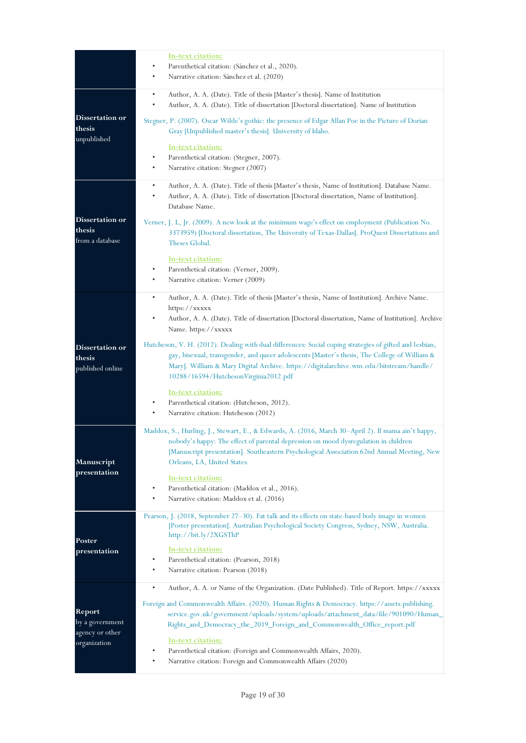|                                               | <u>In-text citation:</u><br>Parenthetical citation: (Sánchez et al., 2020).<br>Narrative citation: Sánchez et al. (2020)                                                                                                                                                                                                                                                                                  |
|-----------------------------------------------|-----------------------------------------------------------------------------------------------------------------------------------------------------------------------------------------------------------------------------------------------------------------------------------------------------------------------------------------------------------------------------------------------------------|
|                                               | Author, A. A. (Date). Title of thesis [Master's thesis]. Name of Institution<br>$\bullet$<br>Author, A. A. (Date). Title of dissertation [Doctoral dissertation]. Name of Institution                                                                                                                                                                                                                     |
| Dissertation or<br>thesis                     | Stegner, P. (2007). Oscar Wilde's gothic: the presence of Edgar Allan Poe in the Picture of Dorian<br>Gray [Unpublished master's thesis]. University of Idaho.                                                                                                                                                                                                                                            |
| unpublished                                   | In-text citation:<br>Parenthetical citation: (Stegner, 2007).<br>٠<br>Narrative citation: Stegner (2007)<br>٠                                                                                                                                                                                                                                                                                             |
|                                               | Author, A. A. (Date). Title of thesis [Master's thesis, Name of Institution]. Database Name.<br>$\bullet$<br>Author, A. A. (Date). Title of dissertation [Doctoral dissertation, Name of Institution].<br>$\bullet$<br>Database Name.                                                                                                                                                                     |
| Dissertation or<br>thesis<br>from a database  | Verner, J. L, Jr. (2009). A new look at the minimum wage's effect on employment (Publication No.<br>3373959) [Doctoral dissertation, The University of Texas-Dallas]. ProQuest Dissertations and<br>Theses Global.                                                                                                                                                                                        |
|                                               | <u>In-text citation:</u><br>Parenthetical citation: (Verner, 2009).<br>٠<br>٠<br>Narrative citation: Verner (2009)                                                                                                                                                                                                                                                                                        |
|                                               | Author, A. A. (Date). Title of thesis [Master's thesis, Name of Institution]. Archive Name.<br>$\bullet$<br>https://xxxxx<br>Author, A. A. (Date). Title of dissertation [Doctoral dissertation, Name of Institution]. Archive<br>Name. https://xxxxx                                                                                                                                                     |
| Dissertation or<br>thesis<br>published online | Hutcheson, V. H. (2012). Dealing with dual differences: Social coping strategies of gifted and lesbian,<br>gay, bisexual, transgender, and queer adolescents [Master's thesis, The College of William &<br>Mary]. William & Mary Digital Archive. https://digitalarchive.wm.edu/bitstream/handle/<br>10288/16594/HutchesonVirginia2012.pdf                                                                |
|                                               | In-text citation:<br>Parenthetical citation: (Hutcheson, 2012).<br>٠<br>٠<br>Narrative citation: Hutcheson (2012)                                                                                                                                                                                                                                                                                         |
| Manuscript<br>presentation                    | Maddox, S., Hurling, J., Stewart, E., & Edwards, A. (2016, March 30-April 2). If mama ain't happy,<br>nobody's happy: The effect of parental depression on mood dysregulation in children<br>[Manuscript presentation]. Southeastern Psychological Association 62nd Annual Meeting, New<br>Orleans, LA, United States.                                                                                    |
|                                               | In-text citation:<br>Parenthetical citation: (Maddox et al., 2016).<br>Narrative citation: Maddox et al. (2016)                                                                                                                                                                                                                                                                                           |
| Poster                                        | Pearson, J. (2018, September 27-30). Fat talk and its effects on state-based body image in women<br>[Poster presentation]. Australian Psychological Society Congress, Sydney, NSW, Australia.<br>http://bit.ly/2XGSThP                                                                                                                                                                                    |
| presentation                                  | <u>In-text citation:</u><br>Parenthetical citation: (Pearson, 2018)<br>٠<br>Narrative citation: Pearson (2018)<br>٠                                                                                                                                                                                                                                                                                       |
| Report<br>by a government<br>agency or other  | $\bullet$<br>Author, A. A. or Name of the Organization. (Date Published). Title of Report. https://xxxxx<br>Foreign and Commonwealth Affairs. (2020). Human Rights & Democracy. https://assets.publishing.<br>service.gov.uk/government/uploads/system/uploads/attachment_data/file/901090/Human_<br>Rights_and_Democracy_the_2019_Foreign_and_Commonwealth_Office_report.pdf<br><u>In-text citation:</u> |
| organization                                  | Parenthetical citation: (Foreign and Commonwealth Affairs, 2020).<br>Narrative citation: Foreign and Commonwealth Affairs (2020)                                                                                                                                                                                                                                                                          |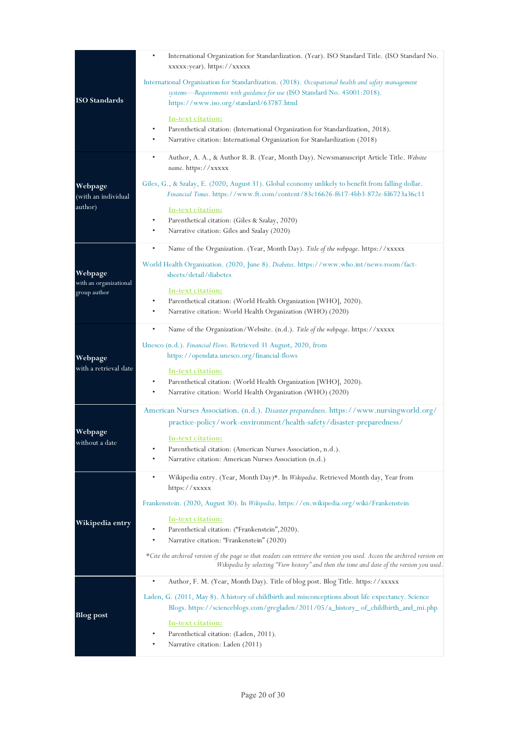|                                        | International Organization for Standardization. (Year). ISO Standard Title. (ISO Standard No.<br>٠<br>xxxxx:year). https://xxxxx                                                                                                                               |
|----------------------------------------|----------------------------------------------------------------------------------------------------------------------------------------------------------------------------------------------------------------------------------------------------------------|
| <b>ISO</b> Standards                   | International Organization for Standardization. (2018). Occupational health and safety management<br>systems—Requirements with guidance for use (ISO Standard No. 45001:2018).<br>https://www.iso.org/standard/63787.html                                      |
|                                        | <u>In-text citation:</u><br>Parenthetical citation: (International Organization for Standardization, 2018).<br>٠<br>Narrative citation: International Organization for Standardization (2018)                                                                  |
|                                        | $\bullet$<br>Author, A. A., & Author B. B. (Year, Month Day). Newsmanuscript Article Title. Website<br>name. https://xxxxx                                                                                                                                     |
| Webpage<br>(with an individual         | Giles, G., & Szalay, E. (2020, August 31). Global economy unlikely to benefit from falling dollar.<br>Financial Times. https://www.ft.com/content/83c16626-f617-4bb3-872e-fd6723a36c11                                                                         |
| author)                                | <u>In-text citation:</u><br>Parenthetical citation: (Giles & Szalay, 2020)<br>Narrative citation: Giles and Szalay (2020)<br>٠                                                                                                                                 |
|                                        | $\bullet$<br>Name of the Organization. (Year, Month Day). Title of the webpage. https://xxxxx                                                                                                                                                                  |
| Webpage                                | World Health Organization. (2020, June 8). Diabetes. https://www.who.int/news-room/fact-<br>sheets/detail/diabetes                                                                                                                                             |
| with an organizational<br>group author | In-text citation:<br>Parenthetical citation: (World Health Organization [WHO], 2020).<br>Narrative citation: World Health Organization (WHO) (2020)                                                                                                            |
|                                        | Name of the Organization/Website. (n.d.). Title of the webpage. https://xxxxx<br>$\bullet$                                                                                                                                                                     |
| Webpage                                | Unesco (n.d.). Financial Flows. Retrieved 31 August, 2020, from<br>https://opendata.unesco.org/financial-flows                                                                                                                                                 |
| with a retrieval date                  | <u>In-text citation:</u><br>Parenthetical citation: (World Health Organization [WHO], 2020).<br>٠<br>Narrative citation: World Health Organization (WHO) (2020)                                                                                                |
|                                        | American Nurses Association. (n.d.). Disaster preparedness. https://www.nursingworld.org/<br>practice-policy/work-environment/health-safety/disaster-preparedness/                                                                                             |
| Webpage<br>without a date              | In-text citation:<br>Parenthetical citation: (American Nurses Association, n.d.).<br>٠<br>Narrative citation: American Nurses Association (n.d.)                                                                                                               |
|                                        | ٠<br>Wikipedia entry. (Year, Month Day)*. In Wikipedia. Retrieved Month day, Year from                                                                                                                                                                         |
|                                        | https://xxxxx<br>Frankenstein. (2020, August 30). In Wikipedia. https://en.wikipedia.org/wiki/Frankenstein                                                                                                                                                     |
| Wikipedia entry                        | <u>In-text citation:</u><br>٠<br>Parenthetical citation: ("Frankenstein", 2020).<br>Narrative citation: "Frankenstein" (2020)<br>٠<br>*Cite the archived version of the page so that readers can retrieve the version you used. Access the archived version on |
|                                        | Wikipedia by selecting "View history" and then the time and date of the version you used.                                                                                                                                                                      |
|                                        | ٠<br>Author, F. M. (Year, Month Day). Title of blog post. Blog Title. https://xxxxx                                                                                                                                                                            |
| <b>Blog post</b>                       | Laden, G. (2011, May 8). A history of childbirth and misconceptions about life expectancy. Science<br>Blogs. https://scienceblogs.com/gregladen/2011/05/a_history_of_childbirth_and_mi.php                                                                     |
|                                        | <u>In-text citation:</u><br>Parenthetical citation: (Laden, 2011).<br>Narrative citation: Laden (2011)                                                                                                                                                         |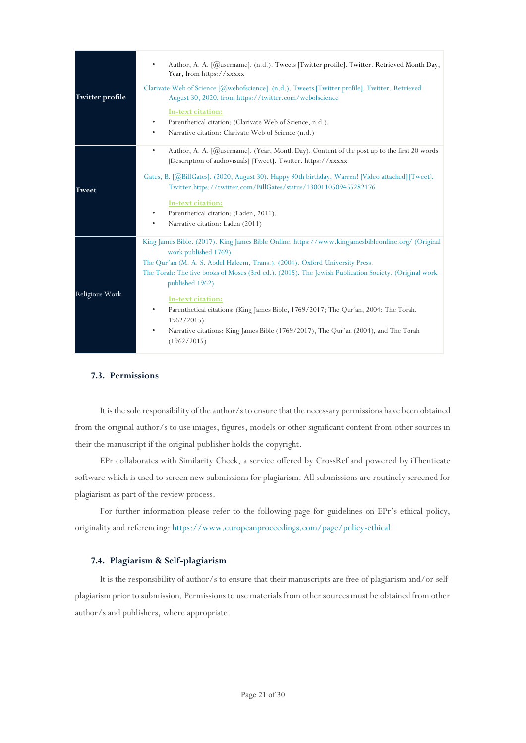| <b>Twitter profile</b> | Author, A. A. [@username]. (n.d.). Tweets [Twitter profile]. Twitter. Retrieved Month Day,<br>$\bullet$<br>Year, from https://xxxxx<br>Clarivate Web of Science [@webofscience]. (n.d.). Tweets [Twitter profile]. Twitter. Retrieved<br>August 30, 2020, from https://twitter.com/webofscience<br>In-text citation:<br>Parenthetical citation: (Clarivate Web of Science, n.d.).<br>٠<br>Narrative citation: Clarivate Web of Science (n.d.)<br>$\bullet$                                                                                                                             |
|------------------------|----------------------------------------------------------------------------------------------------------------------------------------------------------------------------------------------------------------------------------------------------------------------------------------------------------------------------------------------------------------------------------------------------------------------------------------------------------------------------------------------------------------------------------------------------------------------------------------|
| <b>Tweet</b>           | Author, A. A. [ $@$ username]. (Year, Month Day). Content of the post up to the first 20 words<br>$\bullet$<br>[Description of audiovisuals] [Tweet]. Twitter. https://xxxxx<br>Gates, B. [@BillGates]. (2020, August 30). Happy 90th birthday, Warren! [Video attached] [Tweet].<br>Twitter.https://twitter.com/BillGates/status/1300110509455282176<br>In-text citation:<br>Parenthetical citation: (Laden, 2011).<br>$\bullet$<br>Narrative citation: Laden (2011)<br>٠                                                                                                             |
| Religious Work         | King James Bible. (2017). King James Bible Online. https://www.kingjamesbibleonline.org/ (Original<br>work published 1769)<br>The Qur'an (M. A. S. Abdel Haleem, Trans.). (2004). Oxford University Press.<br>The Torah: The five books of Moses (3rd ed.). (2015). The Jewish Publication Society. (Original work<br>published 1962)<br>In-text citation:<br>Parenthetical citations: (King James Bible, 1769/2017; The Qur'an, 2004; The Torah,<br>٠<br>1962/2015<br>Narrative citations: King James Bible (1769/2017), The Qur'an (2004), and The Torah<br>$\bullet$<br>(1962/2015) |

#### <span id="page-24-0"></span>**7.3. Permissions**

It is the sole responsibility of the author/s to ensure that the necessary permissions have been obtained from the original author/s to use images, figures, models or other significant content from other sources in their the manuscript if the original publisher holds the copyright.

EPr collaborates with Similarity Check, a service offered by CrossRef and powered by iThenticate software which is used to screen new submissions for plagiarism. All submissions are routinely screened for plagiarism as part of the review process.

For further information please refer to the following page for guidelines on EPr's ethical policy, originality and referencing:<https://www.europeanproceedings.com/page/policy-ethical>

#### <span id="page-24-1"></span>**7.4. Plagiarism & Self-plagiarism**

It is the responsibility of author/s to ensure that their manuscripts are free of plagiarism and/or selfplagiarism prior to submission. Permissions to use materials from other sources must be obtained from other author/s and publishers, where appropriate.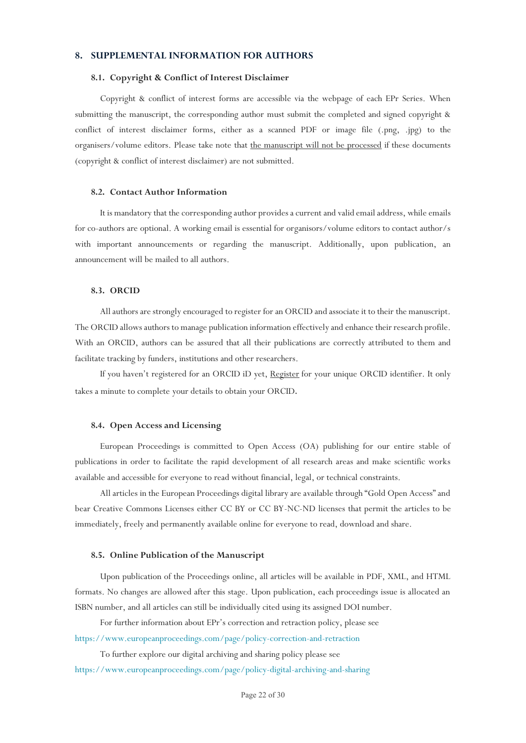# <span id="page-25-0"></span>**8. SUPPLEMENTAL INFORMATION FOR AUTHORS**

#### <span id="page-25-1"></span>**8.1. Copyright & Conflict of Interest Disclaimer**

Copyright & conflict of interest forms are accessible via the webpage of each EPr Series. When submitting the manuscript, the corresponding author must submit the completed and signed copyright & conflict of interest disclaimer forms, either as a scanned PDF or image file (.png, .jpg) to the organisers/volume editors. Please take note that the manuscript will not be processed if these documents (copyright & conflict of interest disclaimer) are not submitted.

# <span id="page-25-2"></span>**8.2. Contact Author Information**

It is mandatory that the corresponding author provides a current and valid email address, while emails for co-authors are optional. A working email is essential for organisors/volume editors to contact author/s with important announcements or regarding the manuscript. Additionally, upon publication, an announcement will be mailed to all authors.

#### <span id="page-25-3"></span>**8.3. ORCID**

All authors are strongly encouraged to register for an ORCID and associate it to their the manuscript. The ORCID allows authors to manage publication information effectively and enhance their research profile. With an ORCID, authors can be assured that all their publications are correctly attributed to them and facilitate tracking by funders, institutions and other researchers.

If you haven't registered for an ORCID iD yet, [Register](https://orcid.org/) for your unique ORCID identifier. It only takes a minute to complete your details to obtain your ORCID.

#### <span id="page-25-4"></span>**8.4. Open Access and Licensing**

European Proceedings is committed to Open Access (OA) publishing for our entire stable of publications in order to facilitate the rapid development of all research areas and make scientific works available and accessible for everyone to read without financial, legal, or technical constraints.

All articles in the European Proceedings digital library are available through "Gold Open Access" and bear Creative Commons Licenses either CC BY or CC BY-NC-ND licenses that permit the articles to be immediately, freely and permanently available online for everyone to read, download and share.

#### <span id="page-25-5"></span>**8.5. Online Publication of the Manuscript**

Upon publication of the Proceedings online, all articles will be available in PDF, XML, and HTML formats. No changes are allowed after this stage. Upon publication, each proceedings issue is allocated an ISBN number, and all articles can still be individually cited using its assigned DOI number.

For further information about EPr's correction and retraction policy, please see <https://www.europeanproceedings.com/page/policy-correction-and-retraction>

To further explore our digital archiving and sharing policy please see <https://www.europeanproceedings.com/page/policy-digital-archiving-and-sharing>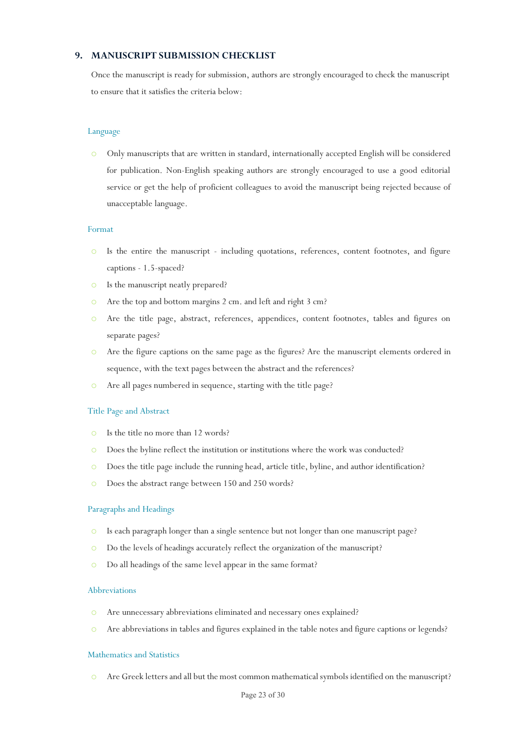# <span id="page-26-0"></span>**9. MANUSCRIPT SUBMISSION CHECKLIST**

Once the manuscript is ready for submission, authors are strongly encouraged to check the manuscript to ensure that it satisfies the criteria below:

### Language

o Only manuscripts that are written in standard, internationally accepted English will be considered for publication. Non-English speaking authors are strongly encouraged to use a good editorial service or get the help of proficient colleagues to avoid the manuscript being rejected because of unacceptable language.

#### Format

- o Is the entire the manuscript including quotations, references, content footnotes, and figure captions - 1.5-spaced?
- o Is the manuscript neatly prepared?
- o Are the top and bottom margins 2 cm. and left and right 3 cm?
- o Are the title page, abstract, references, appendices, content footnotes, tables and figures on separate pages?
- o Are the figure captions on the same page as the figures? Are the manuscript elements ordered in sequence, with the text pages between the abstract and the references?
- o Are all pages numbered in sequence, starting with the title page?

#### Title Page and Abstract

- o Is the title no more than 12 words?
- o Does the byline reflect the institution or institutions where the work was conducted?
- o Does the title page include the running head, article title, byline, and author identification?
- o Does the abstract range between 150 and 250 words?

# Paragraphs and Headings

- o Is each paragraph longer than a single sentence but not longer than one manuscript page?
- o Do the levels of headings accurately reflect the organization of the manuscript?
- o Do all headings of the same level appear in the same format?

#### Abbreviations

- o Are unnecessary abbreviations eliminated and necessary ones explained?
- o Are abbreviations in tables and figures explained in the table notes and figure captions or legends?

#### Mathematics and Statistics

o Are Greek letters and all but the most common mathematical symbols identified on the manuscript?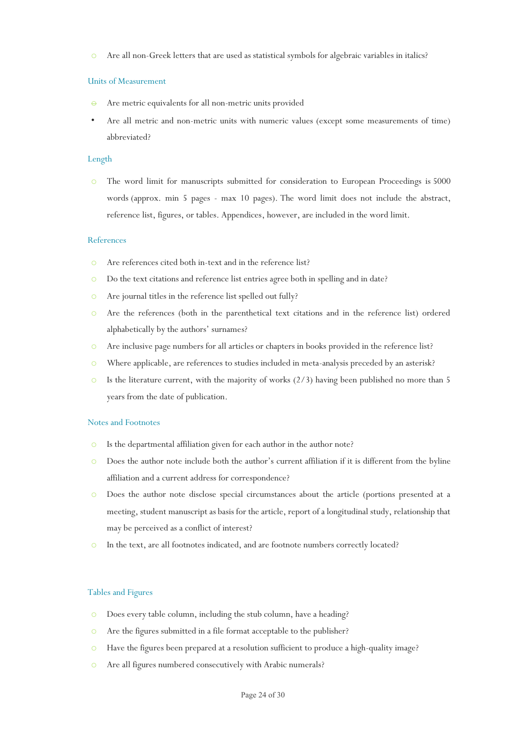o Are all non-Greek letters that are used as statistical symbols for algebraic variables in italics?

#### Units of Measurement

- Are metric equivalents for all non-metric units provided
- Are all metric and non-metric units with numeric values (except some measurements of time) abbreviated?

# Length

o The word limit for manuscripts submitted for consideration to European Proceedings is 5000 words (approx. min 5 pages - max 10 pages). The word limit does not include the abstract, reference list, figures, or tables. Appendices, however, are included in the word limit.

#### References

- o Are references cited both in-text and in the reference list?
- o Do the text citations and reference list entries agree both in spelling and in date?
- o Are journal titles in the reference list spelled out fully?
- o Are the references (both in the parenthetical text citations and in the reference list) ordered alphabetically by the authors' surnames?
- o Are inclusive page numbers for all articles or chapters in books provided in the reference list?
- o Where applicable, are references to studies included in meta-analysis preceded by an asterisk?
- $\circ$  Is the literature current, with the majority of works (2/3) having been published no more than 5 years from the date of publication.

#### Notes and Footnotes

- o Is the departmental affiliation given for each author in the author note?
- o Does the author note include both the author's current affiliation if it is different from the byline affiliation and a current address for correspondence?
- o Does the author note disclose special circumstances about the article (portions presented at a meeting, student manuscript as basis for the article, report of a longitudinal study, relationship that may be perceived as a conflict of interest?
- o In the text, are all footnotes indicated, and are footnote numbers correctly located?

#### Tables and Figures

- o Does every table column, including the stub column, have a heading?
- o Are the figures submitted in a file format acceptable to the publisher?
- o Have the figures been prepared at a resolution sufficient to produce a high-quality image?
- o Are all figures numbered consecutively with Arabic numerals?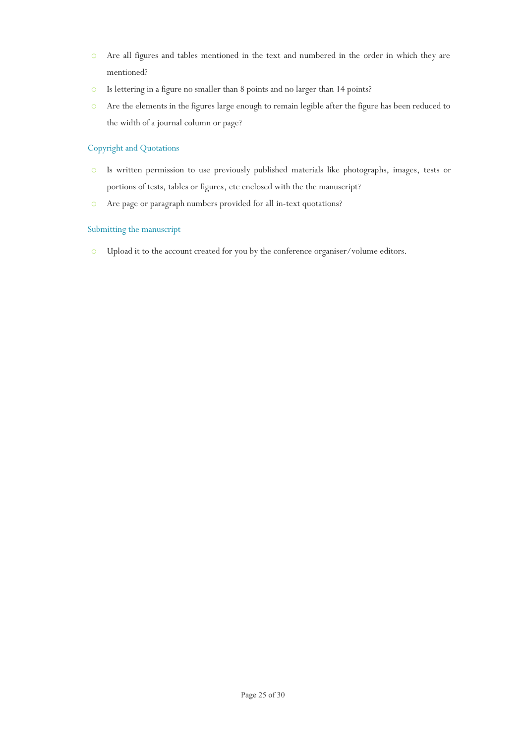- o Are all figures and tables mentioned in the text and numbered in the order in which they are mentioned?
- o Is lettering in a figure no smaller than 8 points and no larger than 14 points?
- o Are the elements in the figures large enough to remain legible after the figure has been reduced to the width of a journal column or page?

# Copyright and Quotations

- o Is written permission to use previously published materials like photographs, images, tests or portions of tests, tables or figures, etc enclosed with the the manuscript?
- o Are page or paragraph numbers provided for all in-text quotations?

# Submitting the manuscript

o Upload it to the account created for you by the conference organiser/volume editors.